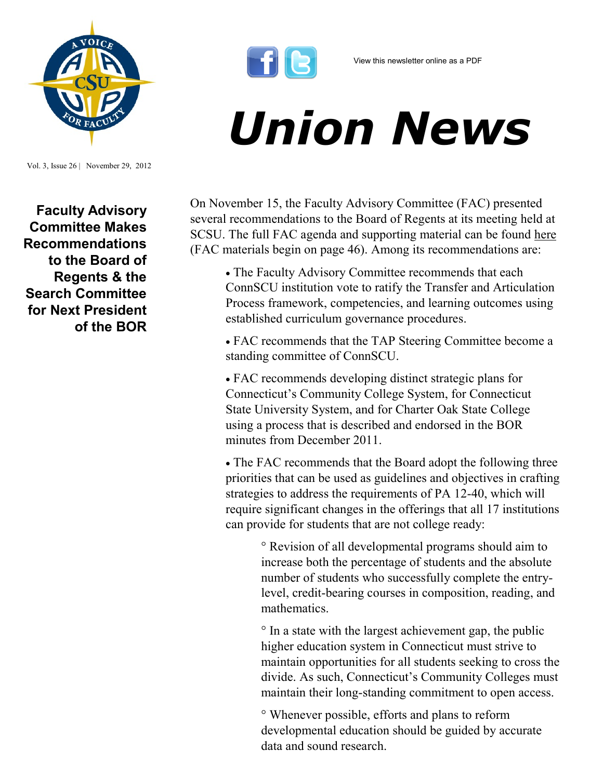

View this newsletter online as a PDF

## *Union News*

On November 15, the Faculty Advisory Committee (FAC) presented several recommendations to the Board of Regents at its meeting held at SCSU. The full FAC agenda and supporting material can be found [here](http://www.ctregents.org/images/uploads/BOR_Agenda_Packet_111512_with_FAC_material.pdf) (FAC materials begin on page 46). Among its recommendations are:

 The Faculty Advisory Committee recommends that each ConnSCU institution vote to ratify the Transfer and Articulation Process framework, competencies, and learning outcomes using established curriculum governance procedures.

 FAC recommends that the TAP Steering Committee become a standing committee of ConnSCU.

 FAC recommends developing distinct strategic plans for Connecticut's Community College System, for Connecticut State University System, and for Charter Oak State College using a process that is described and endorsed in the BOR minutes from December 2011.

• The FAC recommends that the Board adopt the following three priorities that can be used as guidelines and objectives in crafting strategies to address the requirements of PA 12-40, which will require significant changes in the offerings that all 17 institutions can provide for students that are not college ready:

> ° Revision of all developmental programs should aim to increase both the percentage of students and the absolute number of students who successfully complete the entrylevel, credit-bearing courses in composition, reading, and mathematics.

° In a state with the largest achievement gap, the public higher education system in Connecticut must strive to maintain opportunities for all students seeking to cross the divide. As such, Connecticut's Community Colleges must maintain their long-standing commitment to open access.

° Whenever possible, efforts and plans to reform developmental education should be guided by accurate data and sound research.

**Faculty Advisory Committee Makes Recommendations to the Board of Regents & the Search Committee for Next President of the BOR**

Vol. 3, Issue 26 | November 29, 2012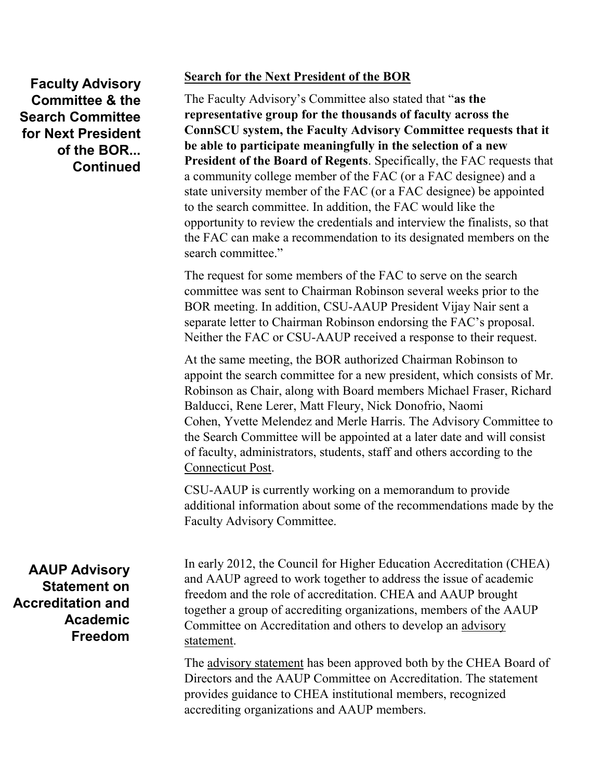## **Faculty Advisory Committee & the Search Committee for Next President of the BOR... Continued**

## **Search for the Next President of the BOR**

The Faculty Advisory's Committee also stated that "**as the representative group for the thousands of faculty across the ConnSCU system, the Faculty Advisory Committee requests that it be able to participate meaningfully in the selection of a new President of the Board of Regents**. Specifically, the FAC requests that a community college member of the FAC (or a FAC designee) and a state university member of the FAC (or a FAC designee) be appointed to the search committee. In addition, the FAC would like the opportunity to review the credentials and interview the finalists, so that the FAC can make a recommendation to its designated members on the search committee."

The request for some members of the FAC to serve on the search committee was sent to Chairman Robinson several weeks prior to the BOR meeting. In addition, CSU-AAUP President Vijay Nair sent a separate letter to Chairman Robinson endorsing the FAC's proposal. Neither the FAC or CSU-AAUP received a response to their request.

At the same meeting, the BOR authorized Chairman Robinson to appoint the search committee for a new president, which consists of Mr. Robinson as Chair, along with Board members [Michael Fraser,](http://www.ctpost.com/?controllerName=search&action=search&channel=local&search=1&inlineLink=1&query=%22Michael+Fraser%22) [Richard](http://www.ctpost.com/?controllerName=search&action=search&channel=local&search=1&inlineLink=1&query=%22Richard+Balducci%22)  [Balducci,](http://www.ctpost.com/?controllerName=search&action=search&channel=local&search=1&inlineLink=1&query=%22Richard+Balducci%22) [Rene Lerer,](http://www.ctpost.com/?controllerName=search&action=search&channel=local&search=1&inlineLink=1&query=%22Rene+Lerer%22) [Matt Fleury,](http://www.ctpost.com/?controllerName=search&action=search&channel=local&search=1&inlineLink=1&query=%22Matt+Fleury%22) [Nick Donofrio,](http://www.ctpost.com/?controllerName=search&action=search&channel=local&search=1&inlineLink=1&query=%22Nick+Donofrio%22) [Naomi](http://www.ctpost.com/?controllerName=search&action=search&channel=local&search=1&inlineLink=1&query=%22Naomi+Cohen%22)  [Cohen,](http://www.ctpost.com/?controllerName=search&action=search&channel=local&search=1&inlineLink=1&query=%22Naomi+Cohen%22) [Yvette Melendez](http://www.ctpost.com/?controllerName=search&action=search&channel=local&search=1&inlineLink=1&query=%22Yvette+Melendez%22) and [Merle Harris.](http://www.ctpost.com/?controllerName=search&action=search&channel=local&search=1&inlineLink=1&query=%22Merle+Harris%22) The Advisory Committee to the Search Committee will be appointed at a later date and will consist of faculty, administrators, students, staff and others according to the [Connecticut Post.](http://www.ctpost.com/local/article/Search-committee-to-pick-next-Regents-president-4041869.php#ixzz2DRTmvXbF) 

CSU-AAUP is currently working on a memorandum to provide additional information about some of the recommendations made by the Faculty Advisory Committee.

**AAUP Advisory Statement on Accreditation and Academic Freedom**  In early 2012, the Council for Higher Education Accreditation (CHEA) and AAUP agreed to work together to address the issue of academic freedom and the role of accreditation. CHEA and AAUP brought together a group of accrediting organizations, members of the AAUP Committee on Accreditation and others to develop an [advisory](https://online.aaup.org/aaupssa/ecmssamsganalytics.click_through?p_mail_id=E14236A6204198B1C4201)  [statement.](https://online.aaup.org/aaupssa/ecmssamsganalytics.click_through?p_mail_id=E14236A6204198B1C4201)

The [advisory statement](https://online.aaup.org/aaupssa/ecmssamsganalytics.click_through?p_mail_id=E14236A6204198B1C4201) has been approved both by the CHEA Board of Directors and the AAUP Committee on Accreditation. The statement provides guidance to CHEA institutional members, recognized accrediting organizations and AAUP members.